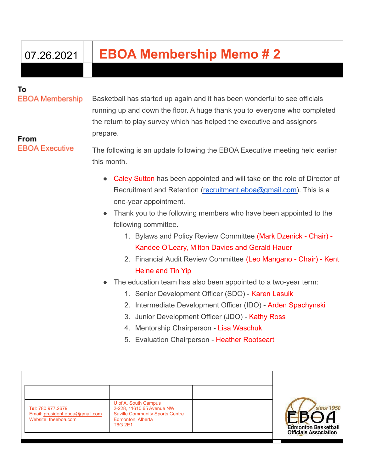## 07.26.2021 **EBOA Membership Memo # 2**

## То

**EBOA Membership** 

Basketball has started up again and it has been wonderful to see officials running up and down the floor. A huge thank you to everyone who completed the return to play survey which has helped the executive and assignors prepare.

From **EBOA Executive** 

The following is an update following the EBOA Executive meeting held earlier this month.

- Caley Sutton has been appointed and will take on the role of Director of Recruitment and Retention ([recruitment.eboa@gmail.com\)](mailto:recruitment.eboa@gmail.com). This is a one-year appointment.
- Thank you to the following members who have been appointed to the following committee.
	- 1. Bylaws and Policy Review Committee (Mark Dzenick Chair) Kandee O'Leary, Milton Davies and Gerald Hauer
	- 2. Financial Audit Review Committee (Leo Mangano Chair) Kent Heine and Tin Yip
- The education team has also been appointed to a two-year term:
	- 1. Senior Development Officer (SDO) Karen Lasuik
	- 2. Intermediate Development Officer (IDO) Arden Spachynski
	- 3. Junior Development Officer (JDO) Kathy Ross
	- 4. Mentorship Chairperson Lisa Waschuk
	- 5. Evaluation Chairperson Heather Rootseart

| Tel: 780.977.2679<br>Email: president.eboa@gmail.com<br>Website: theeboa.com | U of A, South Campus<br>2-228, 11610 65 Avenue NW<br><b>Saville Community Sports Centre</b><br>Edmonton, Alberta<br><b>T6G 2E1</b> | since 1950<br><b>Edmonton Basketball</b><br><b>Officials Association</b> |
|------------------------------------------------------------------------------|------------------------------------------------------------------------------------------------------------------------------------|--------------------------------------------------------------------------|